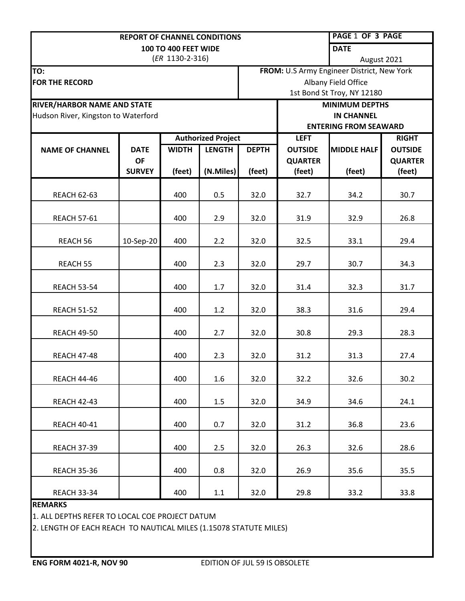|                                     | <b>REPORT OF CHANNEL CONDITIONS</b> |                           | <b>PAGE 1 OF 3 PAGE</b> |                                            |                              |                    |                |  |
|-------------------------------------|-------------------------------------|---------------------------|-------------------------|--------------------------------------------|------------------------------|--------------------|----------------|--|
| <b>100 TO 400 FEET WIDE</b>         |                                     |                           |                         |                                            | <b>DATE</b>                  |                    |                |  |
| (ER 1130-2-316)                     |                                     |                           |                         |                                            | August 2021                  |                    |                |  |
| TO:                                 |                                     |                           |                         | FROM: U.S Army Engineer District, New York |                              |                    |                |  |
| <b>FOR THE RECORD</b>               |                                     |                           |                         | Albany Field Office                        |                              |                    |                |  |
|                                     |                                     |                           |                         | 1st Bond St Troy, NY 12180                 |                              |                    |                |  |
| RIVER/HARBOR NAME AND STATE         |                                     |                           |                         |                                            | <b>MINIMUM DEPTHS</b>        |                    |                |  |
| Hudson River, Kingston to Waterford |                                     |                           |                         |                                            | <b>IN CHANNEL</b>            |                    |                |  |
|                                     |                                     |                           |                         |                                            | <b>ENTERING FROM SEAWARD</b> |                    |                |  |
|                                     |                                     | <b>Authorized Project</b> |                         |                                            | <b>LEFT</b>                  |                    | <b>RIGHT</b>   |  |
| <b>NAME OF CHANNEL</b>              | <b>DATE</b>                         | <b>WIDTH</b>              | <b>LENGTH</b>           | <b>DEPTH</b>                               | <b>OUTSIDE</b>               | <b>MIDDLE HALF</b> | <b>OUTSIDE</b> |  |
|                                     | <b>OF</b>                           |                           |                         |                                            | <b>QUARTER</b>               |                    | <b>QUARTER</b> |  |
|                                     | <b>SURVEY</b>                       | (feet)                    | (N.Miles)               | (feet)                                     | (feet)                       | (feet)             | (feet)         |  |
|                                     |                                     |                           |                         |                                            |                              |                    |                |  |
| <b>REACH 62-63</b>                  |                                     | 400                       | 0.5                     | 32.0                                       | 32.7                         | 34.2               | 30.7           |  |
|                                     |                                     |                           |                         |                                            |                              |                    |                |  |
| <b>REACH 57-61</b>                  |                                     | 400                       | 2.9                     | 32.0                                       | 31.9                         | 32.9               | 26.8           |  |
|                                     |                                     |                           |                         |                                            |                              |                    |                |  |
| REACH 56                            | 10-Sep-20                           | 400                       | 2.2                     | 32.0                                       | 32.5                         | 33.1               | 29.4           |  |
|                                     |                                     |                           |                         |                                            |                              |                    |                |  |
| <b>REACH 55</b>                     |                                     | 400                       | 2.3                     | 32.0                                       | 29.7                         | 30.7               | 34.3           |  |
|                                     |                                     |                           |                         |                                            |                              |                    |                |  |
| <b>REACH 53-54</b>                  |                                     | 400                       | 1.7                     | 32.0                                       | 31.4                         | 32.3               | 31.7           |  |
|                                     |                                     |                           |                         |                                            |                              |                    |                |  |
| <b>REACH 51-52</b>                  |                                     | 400                       | 1.2                     | 32.0                                       | 38.3                         | 31.6               | 29.4           |  |
|                                     |                                     |                           |                         |                                            |                              |                    |                |  |
| <b>REACH 49-50</b>                  |                                     | 400                       | 2.7                     | 32.0                                       | 30.8                         | 29.3               | 28.3           |  |
|                                     |                                     |                           |                         |                                            |                              |                    |                |  |
| <b>REACH 47-48</b>                  |                                     | 400                       | 2.3                     | 32.0                                       | 31.2                         | 31.3               | 27.4           |  |
|                                     |                                     |                           |                         |                                            |                              |                    |                |  |
| <b>REACH 44-46</b>                  |                                     | 400                       | 1.6                     | 32.0                                       | 32.2                         | 32.6               | 30.2           |  |
|                                     |                                     |                           |                         |                                            |                              |                    |                |  |
|                                     |                                     |                           |                         |                                            |                              |                    |                |  |
| <b>REACH 42-43</b>                  |                                     | 400                       | 1.5                     | 32.0                                       | 34.9                         | 34.6               | 24.1           |  |
|                                     |                                     |                           |                         |                                            |                              |                    |                |  |
| <b>REACH 40-41</b>                  |                                     | 400                       | 0.7                     | 32.0                                       | 31.2                         | 36.8               | 23.6           |  |
|                                     |                                     |                           |                         |                                            |                              |                    |                |  |
| <b>REACH 37-39</b>                  |                                     | 400                       | 2.5                     | 32.0                                       | 26.3                         | 32.6               | 28.6           |  |
|                                     |                                     |                           |                         |                                            |                              |                    |                |  |
| <b>REACH 35-36</b>                  |                                     | 400                       | 0.8                     | 32.0                                       | 26.9                         | 35.6               | 35.5           |  |
|                                     |                                     |                           |                         |                                            |                              |                    |                |  |
| <b>REACH 33-34</b>                  |                                     | 400                       | 1.1                     | 32.0                                       | 29.8                         | 33.2               | 33.8           |  |
| <b>REMARKS</b>                      |                                     |                           |                         |                                            |                              |                    |                |  |

1. ALL DEPTHS REFER TO LOCAL COE PROJECT DATUM

2. LENGTH OF EACH REACH TO NAUTICAL MILES (1.15078 STATUTE MILES)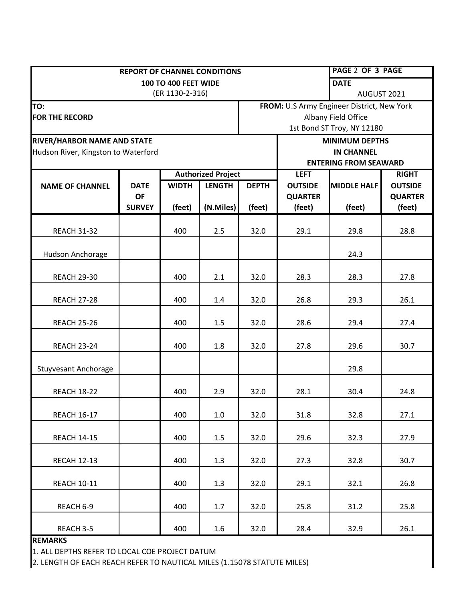|                                     | <b>REPORT OF CHANNEL CONDITIONS</b> |                           | <b>PAGE 2 OF 3 PAGE</b> |                                             |                       |                    |                |  |
|-------------------------------------|-------------------------------------|---------------------------|-------------------------|---------------------------------------------|-----------------------|--------------------|----------------|--|
| <b>100 TO 400 FEET WIDE</b>         |                                     |                           |                         |                                             | <b>DATE</b>           |                    |                |  |
|                                     | (ER 1130-2-316)                     |                           | AUGUST 2021             |                                             |                       |                    |                |  |
| TO:                                 |                                     |                           |                         | FROM: U.S Army Engineer District, New York  |                       |                    |                |  |
| <b>FOR THE RECORD</b>               |                                     |                           |                         | Albany Field Office                         |                       |                    |                |  |
|                                     |                                     |                           |                         | 1st Bond ST Troy, NY 12180                  |                       |                    |                |  |
| RIVER/HARBOR NAME AND STATE         |                                     |                           |                         |                                             | <b>MINIMUM DEPTHS</b> |                    |                |  |
| Hudson River, Kingston to Waterford |                                     |                           |                         |                                             | <b>IN CHANNEL</b>     |                    |                |  |
|                                     |                                     |                           |                         | <b>ENTERING FROM SEAWARD</b><br><b>LEFT</b> |                       |                    | <b>RIGHT</b>   |  |
|                                     | <b>DATE</b>                         | <b>Authorized Project</b> |                         | <b>DEPTH</b>                                | <b>OUTSIDE</b>        | <b>MIDDLE HALF</b> | <b>OUTSIDE</b> |  |
| <b>NAME OF CHANNEL</b>              | <b>OF</b>                           | <b>WIDTH</b>              | <b>LENGTH</b>           |                                             | <b>QUARTER</b>        |                    | <b>QUARTER</b> |  |
|                                     | <b>SURVEY</b>                       | (feet)                    | (N.Miles)               | (feet)                                      | (feet)                | (feet)             | (feet)         |  |
|                                     |                                     |                           |                         |                                             |                       |                    |                |  |
| <b>REACH 31-32</b>                  |                                     | 400                       | 2.5                     | 32.0                                        | 29.1                  | 29.8               | 28.8           |  |
| Hudson Anchorage                    |                                     |                           |                         |                                             |                       | 24.3               |                |  |
|                                     |                                     |                           |                         |                                             |                       |                    |                |  |
| <b>REACH 29-30</b>                  |                                     | 400                       | 2.1                     | 32.0                                        | 28.3                  | 28.3               | 27.8           |  |
|                                     |                                     |                           |                         |                                             |                       |                    |                |  |
| <b>REACH 27-28</b>                  |                                     | 400                       | 1.4                     | 32.0                                        | 26.8                  | 29.3               | 26.1           |  |
| <b>REACH 25-26</b>                  |                                     | 400                       | 1.5                     | 32.0                                        | 28.6                  | 29.4               | 27.4           |  |
| <b>REACH 23-24</b>                  |                                     | 400                       | 1.8                     | 32.0                                        | 27.8                  | 29.6               | 30.7           |  |
|                                     |                                     |                           |                         |                                             |                       |                    |                |  |
| <b>Stuyvesant Anchorage</b>         |                                     |                           |                         |                                             |                       | 29.8               |                |  |
|                                     |                                     |                           |                         |                                             |                       |                    |                |  |
| <b>REACH 18-22</b>                  |                                     | 400                       | 2.9                     | 32.0                                        | 28.1                  | 30.4               | 24.8           |  |
| <b>REACH 16-17</b>                  |                                     | 400                       | 1.0                     | 32.0                                        | 31.8                  | 32.8               | 27.1           |  |
|                                     |                                     |                           |                         |                                             |                       |                    |                |  |
| <b>REACH 14-15</b>                  |                                     | 400                       | 1.5                     | 32.0                                        | 29.6                  | 32.3               | 27.9           |  |
| <b>RECAH 12-13</b>                  |                                     | 400                       | 1.3                     | 32.0                                        | 27.3                  | 32.8               | 30.7           |  |
| <b>REACH 10-11</b>                  |                                     | 400                       | 1.3                     | 32.0                                        | 29.1                  | 32.1               | 26.8           |  |
|                                     |                                     |                           |                         |                                             |                       |                    |                |  |
| REACH 6-9                           |                                     | 400                       | 1.7                     | 32.0                                        | 25.8                  | 31.2               | 25.8           |  |
| REACH 3-5                           |                                     | 400                       | $1.6\,$                 | 32.0                                        | 28.4                  | 32.9               | 26.1           |  |

**REMARKS** 

1. ALL DEPTHS REFER TO LOCAL COE PROJECT DATUM

2. LENGTH OF EACH REACH REFER TO NAUTICAL MILES (1.15078 STATUTE MILES)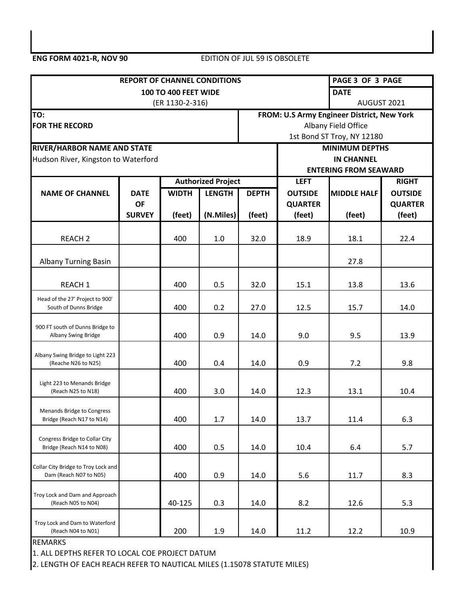## **ENG FORM 4021-R, NOV 90** EDITION OF JUL 59 IS OBSOLETE

| <b>REPORT OF CHANNEL CONDITIONS</b>                            |               | PAGE 3 OF 3 PAGE                                    |                           |                                            |                              |                    |                |  |
|----------------------------------------------------------------|---------------|-----------------------------------------------------|---------------------------|--------------------------------------------|------------------------------|--------------------|----------------|--|
|                                                                |               | <b>DATE</b>                                         |                           |                                            |                              |                    |                |  |
|                                                                |               | (ER 1130-2-316)                                     |                           | AUGUST 2021                                |                              |                    |                |  |
| TO:                                                            |               |                                                     |                           | FROM: U.S Army Engineer District, New York |                              |                    |                |  |
| <b>FOR THE RECORD</b>                                          |               |                                                     |                           | Albany Field Office                        |                              |                    |                |  |
| <b>RIVER/HARBOR NAME AND STATE</b>                             |               | 1st Bond ST Troy, NY 12180<br><b>MINIMUM DEPTHS</b> |                           |                                            |                              |                    |                |  |
| Hudson River, Kingston to Waterford                            |               |                                                     |                           |                                            | <b>IN CHANNEL</b>            |                    |                |  |
|                                                                |               |                                                     |                           |                                            | <b>ENTERING FROM SEAWARD</b> |                    |                |  |
|                                                                |               |                                                     | <b>Authorized Project</b> |                                            | <b>LEFT</b>                  |                    | <b>RIGHT</b>   |  |
| <b>NAME OF CHANNEL</b>                                         | <b>DATE</b>   | <b>WIDTH</b><br><b>LENGTH</b>                       |                           | <b>DEPTH</b>                               | <b>OUTSIDE</b>               | <b>MIDDLE HALF</b> | <b>OUTSIDE</b> |  |
|                                                                | <b>OF</b>     |                                                     |                           |                                            | <b>QUARTER</b>               |                    | <b>QUARTER</b> |  |
|                                                                | <b>SURVEY</b> | (feet)                                              | (N.Miles)                 | (feet)                                     | (feet)                       | (feet)             | (feet)         |  |
| <b>REACH 2</b>                                                 |               | 400                                                 | 1.0                       | 32.0                                       | 18.9                         | 18.1               | 22.4           |  |
| <b>Albany Turning Basin</b>                                    |               |                                                     |                           |                                            |                              | 27.8               |                |  |
| <b>REACH 1</b>                                                 |               | 400                                                 | 0.5                       | 32.0                                       | 15.1                         | 13.8               | 13.6           |  |
| Head of the 27' Project to 900'<br>South of Dunns Bridge       |               | 400                                                 | 0.2                       | 27.0                                       | 12.5                         | 15.7               | 14.0           |  |
| 900 FT south of Dunns Bridge to<br>Albany Swing Bridge         |               | 400                                                 | 0.9                       | 14.0                                       | 9.0                          | 9.5                | 13.9           |  |
| Albany Swing Bridge to Light 223<br>(Reache N26 to N25)        |               | 400                                                 | 0.4                       | 14.0                                       | 0.9                          | 7.2                | 9.8            |  |
| Light 223 to Menands Bridge<br>(Reach N25 to N18)              |               | 400                                                 | 3.0                       | 14.0                                       | 12.3                         | 13.1               | 10.4           |  |
| <b>Menands Bridge to Congress</b><br>Bridge (Reach N17 to N14) |               | 400                                                 | 1.7                       | 14.0                                       | 13.7                         | 11.4               | 6.3            |  |
| Congress Bridge to Collar City<br>Bridge (Reach N14 to N08)    |               | 400                                                 | 0.5                       | 14.0                                       | 10.4                         | 6.4                | 5.7            |  |
| Collar City Bridge to Troy Lock and<br>Dam (Reach N07 to N05)  |               | 400                                                 | 0.9                       | 14.0                                       | 5.6                          | 11.7               | 8.3            |  |
| Troy Lock and Dam and Approach<br>(Reach N05 to N04)           |               | 40-125                                              | 0.3                       | 14.0                                       | 8.2                          | 12.6               | 5.3            |  |
| Troy Lock and Dam to Waterford<br>(Reach N04 to N01)           |               | 200                                                 | 1.9                       | 14.0                                       | 11.2                         | 12.2               | 10.9           |  |

REMARKS

1. ALL DEPTHS REFER TO LOCAL COE PROJECT DATUM

2. LENGTH OF EACH REACH REFER TO NAUTICAL MILES (1.15078 STATUTE MILES)